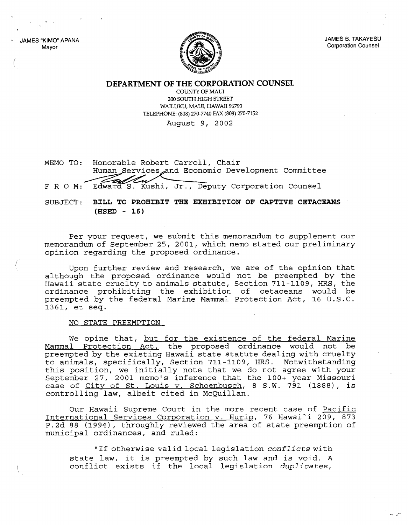JAMES "KIMO" APANA Mayor



JAMES B. TAKAYESU Corporation Counsel

......, ..-:::--

**DEPARTMENT OF THE CORPORATION COUNSEL**

COUNTY OF MAUl 200 SOUTH HIGH STREET WAILUKU, MAUl, HAWAII 96793 TELEPHONE: (808) 270-7740 FAX (808) 270-7152

August 9, 2002

MEMO TO: Honorable Robert Carroll, Chair Human Services and Economic Development Committee F R O M: Edward S. Kushi, Jr., Deputy Corporation Counsel

SUBJECT: **BILL TO PROHIBIT THE EXHIBITION OF CAPTIVE CETACEANS (HSED - 16)**

Per your request, we submit this memorandum to supplement our memorandum of September 25, 2001, which memo stated our preliminary opinion regarding the proposed ordinance.

Upon further review and research, we are of the opinion that although the proposed ordinance would not be preempted by the Hawaii state cruelty to animals statute, Section 711-1109, HRS, the ordinance prohibiting the exhibition of cetaceans would be preempted by the federal Marine Mammal Protection Act, 16 U.S.C. 1361, et seq.

## NO STATE PREEMPTION

We opine that, but for the existence of the federal Marine Mammal Protection Act, the proposed ordinance would not be preempted by the existing Hawaii state statute dealing with cruelty to animals, specifically, Section 711-1109, HRS. Notwithstanding this position, we initially note that we do not agree with your September 27, 2001 memo's inference that the 100+ year Missouri case of City of St. Louis v. Schoenbusch, 8 S.W. 791 (1888), is controlling law, albeit cited in McQuillan.

Our Hawaii Supreme Court in the more recent case of Pacific International Services Corporation v. Hurip, 76 Hawai'i 209, 873 P.2d <sup>88</sup> (1994), throughly reviewed the area of state preemption of municipal ordinances, and ruled:

"If otherwise valid local legislation *conflicts* with state law, it is preempted by such law and is void. <sup>A</sup> conflict exists if the local legislation *duplicates*,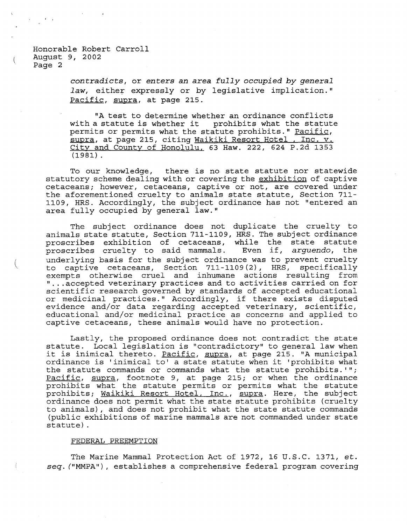(

, ,

*contradicts,* or *enters an area fully occupied by general* law, either expressly or by legislative implication." Pacific, supra, at page 215.

"A test to determine whether an ordinance conflicts with <sup>a</sup> statute is whether it prohibits what the statute nion a boarace is whench is promissed what the statute probability. The profile, pormise or pormise what the beatally pronises of <u>raticle</u>,<br><u>supra</u>, at page 215, citing <u>Waikiki Resort Hotel , Inc. v.</u> City and County of Honolulu, 63 Haw. 222, 624 P.2d 1353 (1981) .

To our knowledge, there is no state statute nor statewide statutory scheme dealing with or covering the exhibition of captive cetaceans; however, cetaceans, captive or not, are covered under the aforementioned cruelty to animals state statute, Section 711- 1109, HRS. Accordingly, the subject ordinance has not "entered an area fully occupied by general law."

The subject ordinance does not duplicate the cruelty to animals state statute, Section 711-1109, HRS. The subject ordinance proscribes exhibition of cetaceans, while the state statute<br>proscribes cruelty to said mammals. Even if, arquendo, the proscribes cruelty to said mammals. underlying basis for the subject ordinance was to prevent cruelty<br>to captive cetaceans, Section 711-1109(2), HRS, specifically to captive cetaceans, Section 711-1109(2), HRS, specifically<br>exempts otherwise cruel and inhumane actions resulting from "... accepted veterinary practices and to activities carried on for scientific research governed by standards of accepted educational or medicinal practices." Accordingly, if there exists disputed evidence and/or data regarding accepted veterinary, scientific, educational and/or medicinal practice as concerns and applied to captive cetaceans, these animals would have no protection.

Lastly, the proposed ordinance does not contradict the state statute. Local legislation is "contradictory" to general law when it is inimical thereto. Pacific, supra, at page 215. "A municipal ordinance is 'inimical to' <sup>a</sup> state statute when it 'prohibits what the statute commands or commands what the statute prohibits.'''; Pacific, supra, footnote 9, at page 215; or when the ordinance prohibits what the statute permits or permits what the statute prohibits; Waikiki Resort Hotel, Inc., supra. Here, the subject ordinance does not permit what the state statute prohibits (cruelty to animals), and does not prohibit what the state statute commands (public exhibitions of marine mammals are not commanded under state statute) .

## FEDERAL PREEMPTION

The Marine Mammal Protection Act of 1972, 16 U.S.C. 1371, *et. seq.* ("MMPA"), establishes a comprehensive federal program covering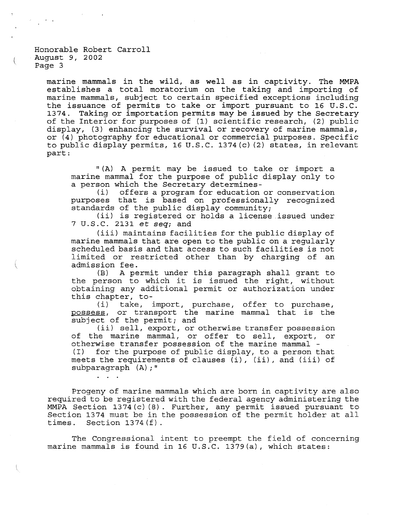$\mathbf{r}$  and  $\mathbf{r}$ 

marine mammals in the wild, as well as in captivity. The MMPA establishes <sup>a</sup> total moratorium on the taking and importing of marine mammals, subject to certain specified exceptions including the issuance of permits to take or import pursuant to 16 U.S.C. 1374. Taking or importation permits may be issued by the Secretary of the Interior for purposes of  $(1)$  scientific research,  $(2)$  public display, (3) enhancing the survival or recovery of marine mammals, or (4) photography for educational or commercial purposes. Specific to public display permits, 16 U.S.C. 1374(c)(2) states, in relevant part:

"(A) A permit may be issued to take or import a marine mammal for the purpose of public display only to a person which the Secretary determines-<br>(i) offers a program for education

offers a program for education or conservation purposes that is based on professionally recognized standards of the public display community;

(ii) is registered or holds <sup>a</sup> license issued under <sup>7</sup> U.S.C. 2131 et *seq;* and

(iii) maintains facilities for the public display of marine mammals that are open to the public on a regularly scheduled basis and that access to such facilities is not limited or restricted other than by charging of an admission fee.

(B) <sup>A</sup> permit under this paragraph shall grant to the person to which it is issued the right, without obtaining any additional permit or authorization under

this chapter, to-<br>(i) take, : take, import, purchase, offer to purchase, possess, or transport the marine mammal that is the subject of the permit; and

(ii) sell, export, or otherwise transfer possession of the marine mammal, or offer to sell, export, or otherwise transfer possession of the marine mammal -<br>(I) for the purpose of public display, to a person t for the purpose of public display, to a person that meets the requirements of clauses  $(i)$ ,  $(ii)$ , and  $(iii)$  of subparagraph (A);"

Progeny of marine mammals which are born in captivity are also required to be registered with the federal agency administering the MMPA Section 1374(c) (8). Further, any permit issued pursuant to Section <sup>1374</sup> must be in the possession of the permit holder at all times. Section 1374(f).

The Congressional intent to preempt the field of concerning marine mammals is found in 16 U.S.C. 1379 $(a)$ , which states: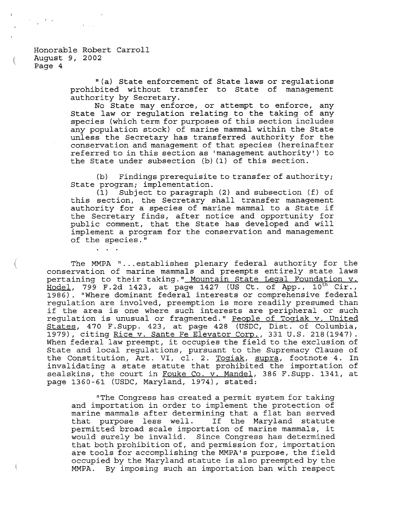(

(

"(a) State enforcement of State laws or regulations prohibited without transfer to State of management authority by Secretary.

No State may enforce, or attempt to enforce, any State law or regulation relating to the taking of any species (which term for purposes of this section includes any population stock) of marine mammal within the State unless the Secretary has transferred authority for the conservation and management of that species (hereinafter referred to in this section as 'management authority') to the State under subsection (b) (1) of this section.

(b) Findings prerequisite to transfer of authority; State program; implementation.

(1) Subject to paragraph (2) and subsection (f) of this section, the Secretary shall transfer management authority for <sup>a</sup> species of marine mammal to <sup>a</sup> State if the Secretary finds, after notice and opportunity for public comment, that the State has developed and will implement a program for the conservation and management of the species."

The MMPA "... establishes plenary federal authority for the conservation of marine mammals and preempts entirely state laws pertaining to their taking." Mountain State Legal Foundation v.  $\frac{1}{2}$  Hodel, 799 F.2d 1423, at page 1427 (US Ct. of App., 10<sup>th</sup> Cir., 1986). "Where dominant federal interests or comprehensive federal regulation are involved, preemption is more readily presumed than if the area is one where such interests are peripheral or such regulation is unusual or fragmented." People of Togiak v. United States, 470 F.Supp. 423, at page 428 (USDC, Dist. of Columbia, 1979), citing Rice v. Sante Fe Elevator Corp., 331 U.S. 218(1947). When federal law preempt, it occupies the field to the exclusion of State and local regulations, pursuant to the Supremacy Clause of the Constitution, Art. VI, cl. 2. Togiak, supra, footnote 4. In invalidating <sup>a</sup> state statute that prohibited the importation of sealskins, the court in Fouke Co. v. Mandel, 386 F.Supp. 1341, at page 1360-61 (USDC, Maryland, 1974), stated:

"The Congress has created a permit system for taking and importation in order to implement the protection of marine mammals after determining that <sup>a</sup> flat ban served that purpose less well. If the Maryland statute permitted broad scale importation of marine mammals, it would surely be invalid. Since Congress has determined that both prohibition of, and permission for, importation are tools for accomplishing the MMPA's purpose, the field occupied by the Maryland statute is also preempted by the MMPA. By imposing such an importation ban with respect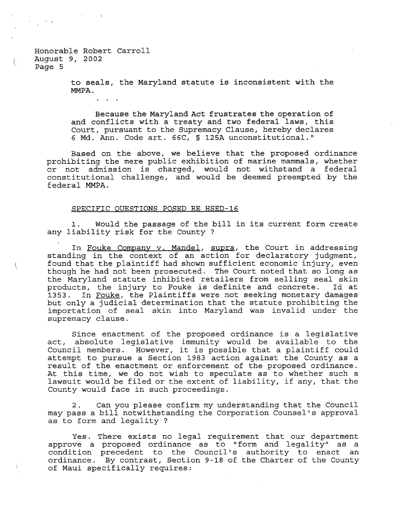> to seals, the Maryland statute is inconsistent with the MMPA.

Because the Maryland Act frustrates the operation of and conflicts with <sup>a</sup> treaty and two federal laws, this Court, pursuant to the Supremacy Clause, hereby declares <sup>6</sup> Md. Ann. Code art. 66C, § 125A unconstitutional."

Based on the above, we believe that the proposed ordinance prohibiting the mere public.exhibition of marine mammals, whether or not admission is charged, would not withstand <sup>a</sup> federal constitutional challenge, and would be deemed preempted by the federal MMPA.

## SPECIFIC OUESTIONS POSED RE HSED-16

1. Would the passage of the bill in its current form create any liability risk for the County ?

In Fouke Company v. Mandel, supra, the Court in addressing standing in the context of an action for declaratory judgment, found that the plaintiff had shown sufficient economic injury, even though he had not been prosecuted. The Court noted that so long as the Maryland statute inhibited retailers from selling seal skin products, the injury to Fouke is definite and concrete. Id at 1353. In Fouke, the Plaintiffs were not seeking monetary damages but only a judicial determination that the statute prohibiting the importation of seal skin into Maryland was invalid under the supremacy clause.

Since enactment of the proposed ordinance is <sup>a</sup> legislative act, absolute legislative immunity would be available to the Council members. However, it is possible that <sup>a</sup> plaintiff could attempt to pursue a Section 1983 action against the County as a result of the enactment or enforcement of the proposed ordinance. At this time, we do not wish to speculate as to whether such <sup>a</sup> lawsuit would be filed or the extent of liability, if any, that the County would face in such proceedings.

2. Can you please confirm my understanding that the Council may pass <sup>a</sup> bill notwithstanding the Corporation Counsel's approval as to form and legality ?

Yes. There exists no legal requirement that our department approve a proposed ordinance as to "form and legality" as a condition precedent to the Council's authority to enact an ordinance. By contrast, Section 9-18 of the Charter of the County of Maui specifically requires: